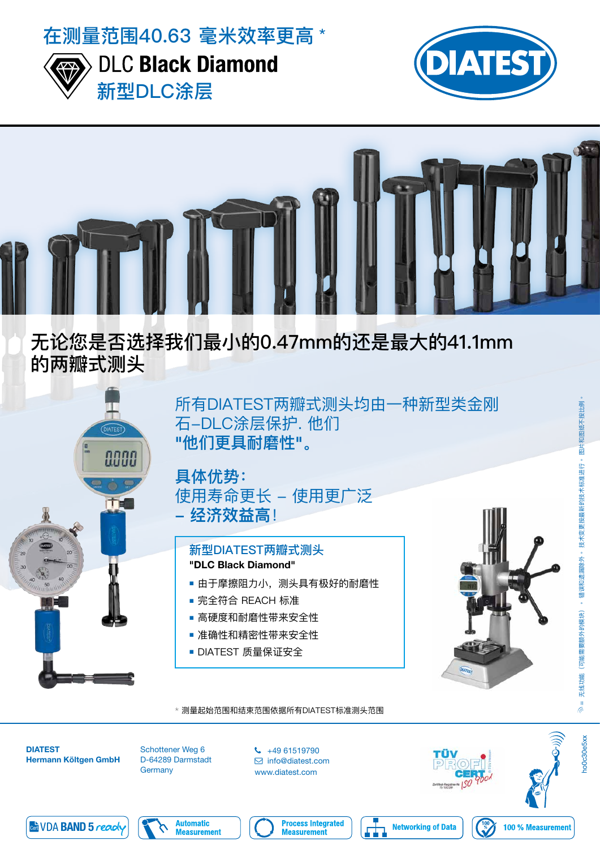在测量范围40.63 毫米效率更高 \*



**DLC Black Diamond** 新型DLC涂层





# 无论您是否选择我们最小的0.47mm的还是最大的41.1mm 的两瓣式测头



所有DIATEST两瓣式测头均由一种新型类金刚 石-DLC涂层保护. 他们 "他们更具耐磨性"。

### 具体优势: 使用寿命更长 - 使用更广泛 **- 经济效益高**!

#### 新型DIATEST两瓣式测头 "DLC Black Diamond"

- 由于摩擦阻力小,测头具有极好的耐磨性
- 完全符合 REACH 标准
- 高硬度和耐磨性带来安全性
- 准确性和精密性带来安全性
- DIATEST 质量保证安全





Schottener Weg 6 D-64289 Darmstadt **Germany** 

 $\begin{array}{cc} \text{C} & +49 & 61519790 \end{array}$  info@diatest.com www.diatest.com







**no0c30e5xx** 





**Process Integrated Measurement**